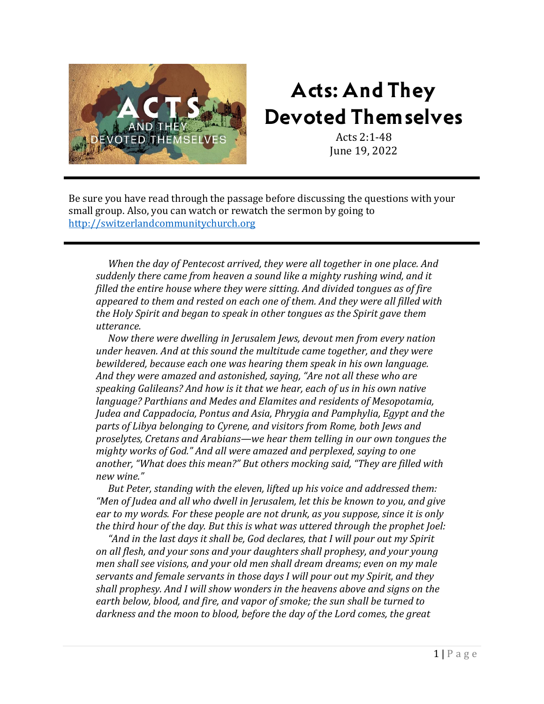

### Acts: And They Devoted Themselves

Acts 2:1-48 June 19, 2022

Be sure you have read through the passage before discussing the questions with your small group. Also, you can watch or rewatch the sermon by going to [http://switzerlandcommunitychurch.org](http://switzerlandcommunitychurch.org/)

*When the day of Pentecost arrived, they were all together in one place. And suddenly there came from heaven a sound like a mighty rushing wind, and it filled the entire house where they were sitting. And divided tongues as of fire appeared to them and rested on each one of them. And they were all filled with the Holy Spirit and began to speak in other tongues as the Spirit gave them utterance.* 

*Now there were dwelling in Jerusalem Jews, devout men from every nation under heaven. And at this sound the multitude came together, and they were bewildered, because each one was hearing them speak in his own language. And they were amazed and astonished, saying, "Are not all these who are speaking Galileans? And how is it that we hear, each of us in his own native language? Parthians and Medes and Elamites and residents of Mesopotamia, Judea and Cappadocia, Pontus and Asia, Phrygia and Pamphylia, Egypt and the parts of Libya belonging to Cyrene, and visitors from Rome, both Jews and proselytes, Cretans and Arabians—we hear them telling in our own tongues the mighty works of God." And all were amazed and perplexed, saying to one another, "What does this mean?" But others mocking said, "They are filled with new wine."*

*But Peter, standing with the eleven, lifted up his voice and addressed them: "Men of Judea and all who dwell in Jerusalem, let this be known to you, and give ear to my words. For these people are not drunk, as you suppose, since it is only the third hour of the day. But this is what was uttered through the prophet Joel:* 

*"And in the last days it shall be, God declares, that I will pour out my Spirit on all flesh, and your sons and your daughters shall prophesy, and your young men shall see visions, and your old men shall dream dreams; even on my male servants and female servants in those days I will pour out my Spirit, and they shall prophesy. And I will show wonders in the heavens above and signs on the earth below, blood, and fire, and vapor of smoke; the sun shall be turned to darkness and the moon to blood, before the day of the Lord comes, the great*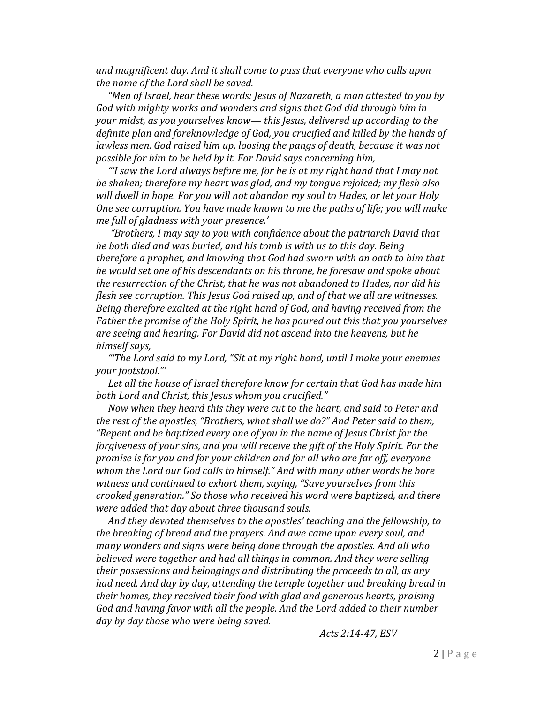*and magnificent day. And it shall come to pass that everyone who calls upon the name of the Lord shall be saved.* 

*"Men of Israel, hear these words: Jesus of Nazareth, a man attested to you by God with mighty works and wonders and signs that God did through him in your midst, as you yourselves know— this Jesus, delivered up according to the definite plan and foreknowledge of God, you crucified and killed by the hands of*  lawless men. God raised him up, loosing the pangs of death, because it was not *possible for him to be held by it. For David says concerning him,* 

*"'I saw the Lord always before me, for he is at my right hand that I may not be shaken; therefore my heart was glad, and my tongue rejoiced; my flesh also will dwell in hope. For you will not abandon my soul to Hades, or let your Holy One see corruption. You have made known to me the paths of life; you will make me full of gladness with your presence.'*

*"Brothers, I may say to you with confidence about the patriarch David that he both died and was buried, and his tomb is with us to this day. Being therefore a prophet, and knowing that God had sworn with an oath to him that he would set one of his descendants on his throne, he foresaw and spoke about the resurrection of the Christ, that he was not abandoned to Hades, nor did his flesh see corruption. This Jesus God raised up, and of that we all are witnesses. Being therefore exalted at the right hand of God, and having received from the Father the promise of the Holy Spirit, he has poured out this that you yourselves are seeing and hearing. For David did not ascend into the heavens, but he himself says,* 

*"'The Lord said to my Lord, "Sit at my right hand, until I make your enemies your footstool."'*

*Let all the house of Israel therefore know for certain that God has made him both Lord and Christ, this Jesus whom you crucified."* 

*Now when they heard this they were cut to the heart, and said to Peter and the rest of the apostles, "Brothers, what shall we do?" And Peter said to them, "Repent and be baptized every one of you in the name of Jesus Christ for the forgiveness of your sins, and you will receive the gift of the Holy Spirit. For the promise is for you and for your children and for all who are far off, everyone whom the Lord our God calls to himself." And with many other words he bore witness and continued to exhort them, saying, "Save yourselves from this crooked generation." So those who received his word were baptized, and there were added that day about three thousand souls.* 

*And they devoted themselves to the apostles' teaching and the fellowship, to the breaking of bread and the prayers. And awe came upon every soul, and many wonders and signs were being done through the apostles. And all who believed were together and had all things in common. And they were selling their possessions and belongings and distributing the proceeds to all, as any had need. And day by day, attending the temple together and breaking bread in their homes, they received their food with glad and generous hearts, praising God and having favor with all the people. And the Lord added to their number day by day those who were being saved.* 

*Acts 2:14-47, ESV*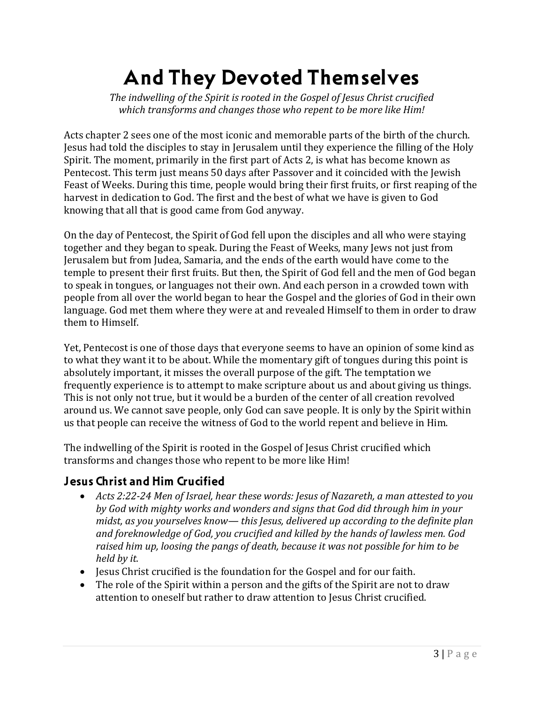# And They Devoted Themselves

*The indwelling of the Spirit is rooted in the Gospel of Jesus Christ crucified which transforms and changes those who repent to be more like Him!*

Acts chapter 2 sees one of the most iconic and memorable parts of the birth of the church. Jesus had told the disciples to stay in Jerusalem until they experience the filling of the Holy Spirit. The moment, primarily in the first part of Acts 2, is what has become known as Pentecost. This term just means 50 days after Passover and it coincided with the Jewish Feast of Weeks. During this time, people would bring their first fruits, or first reaping of the harvest in dedication to God. The first and the best of what we have is given to God knowing that all that is good came from God anyway.

On the day of Pentecost, the Spirit of God fell upon the disciples and all who were staying together and they began to speak. During the Feast of Weeks, many Jews not just from Jerusalem but from Judea, Samaria, and the ends of the earth would have come to the temple to present their first fruits. But then, the Spirit of God fell and the men of God began to speak in tongues, or languages not their own. And each person in a crowded town with people from all over the world began to hear the Gospel and the glories of God in their own language. God met them where they were at and revealed Himself to them in order to draw them to Himself.

Yet, Pentecost is one of those days that everyone seems to have an opinion of some kind as to what they want it to be about. While the momentary gift of tongues during this point is absolutely important, it misses the overall purpose of the gift. The temptation we frequently experience is to attempt to make scripture about us and about giving us things. This is not only not true, but it would be a burden of the center of all creation revolved around us. We cannot save people, only God can save people. It is only by the Spirit within us that people can receive the witness of God to the world repent and believe in Him.

The indwelling of the Spirit is rooted in the Gospel of Jesus Christ crucified which transforms and changes those who repent to be more like Him!

#### Jesus Christ and Him Crucified

- *Acts 2:22-24 Men of Israel, hear these words: Jesus of Nazareth, a man attested to you by God with mighty works and wonders and signs that God did through him in your midst, as you yourselves know— this Jesus, delivered up according to the definite plan and foreknowledge of God, you crucified and killed by the hands of lawless men. God raised him up, loosing the pangs of death, because it was not possible for him to be held by it.*
- Jesus Christ crucified is the foundation for the Gospel and for our faith.
- The role of the Spirit within a person and the gifts of the Spirit are not to draw attention to oneself but rather to draw attention to Jesus Christ crucified.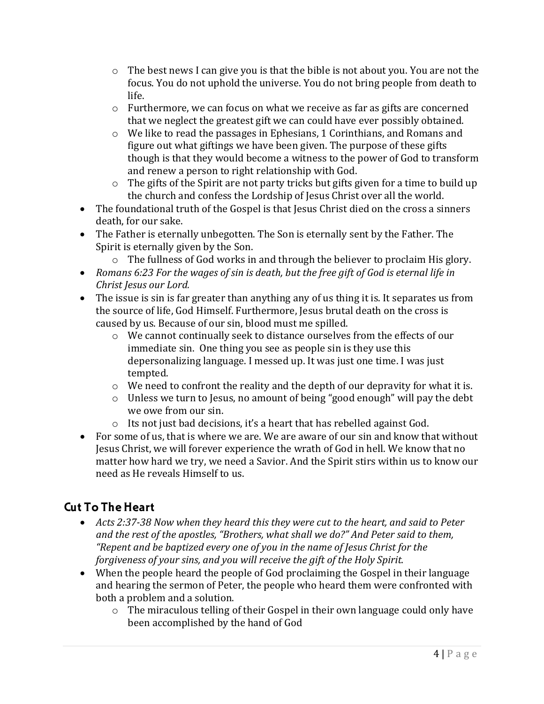- $\circ$  The best news I can give you is that the bible is not about you. You are not the focus. You do not uphold the universe. You do not bring people from death to life.
- o Furthermore, we can focus on what we receive as far as gifts are concerned that we neglect the greatest gift we can could have ever possibly obtained.
- o We like to read the passages in Ephesians, 1 Corinthians, and Romans and figure out what giftings we have been given. The purpose of these gifts though is that they would become a witness to the power of God to transform and renew a person to right relationship with God.
- $\circ$  The gifts of the Spirit are not party tricks but gifts given for a time to build up the church and confess the Lordship of Jesus Christ over all the world.
- The foundational truth of the Gospel is that Jesus Christ died on the cross a sinners death, for our sake.
- The Father is eternally unbegotten. The Son is eternally sent by the Father. The Spirit is eternally given by the Son.
	- o The fullness of God works in and through the believer to proclaim His glory.
- *Romans 6:23 For the wages of sin is death, but the free gift of God is eternal life in Christ Jesus our Lord.*
- The issue is sin is far greater than anything any of us thing it is. It separates us from the source of life, God Himself. Furthermore, Jesus brutal death on the cross is caused by us. Because of our sin, blood must me spilled.
	- o We cannot continually seek to distance ourselves from the effects of our immediate sin. One thing you see as people sin is they use this depersonalizing language. I messed up. It was just one time. I was just tempted.
	- o We need to confront the reality and the depth of our depravity for what it is.
	- o Unless we turn to Jesus, no amount of being "good enough" will pay the debt we owe from our sin.
	- o Its not just bad decisions, it's a heart that has rebelled against God.
- For some of us, that is where we are. We are aware of our sin and know that without Jesus Christ, we will forever experience the wrath of God in hell. We know that no matter how hard we try, we need a Savior. And the Spirit stirs within us to know our need as He reveals Himself to us.

### Cut To The Heart

- *Acts 2:37-38 Now when they heard this they were cut to the heart, and said to Peter and the rest of the apostles, "Brothers, what shall we do?" And Peter said to them, "Repent and be baptized every one of you in the name of Jesus Christ for the forgiveness of your sins, and you will receive the gift of the Holy Spirit.*
- When the people heard the people of God proclaiming the Gospel in their language and hearing the sermon of Peter, the people who heard them were confronted with both a problem and a solution.
	- o The miraculous telling of their Gospel in their own language could only have been accomplished by the hand of God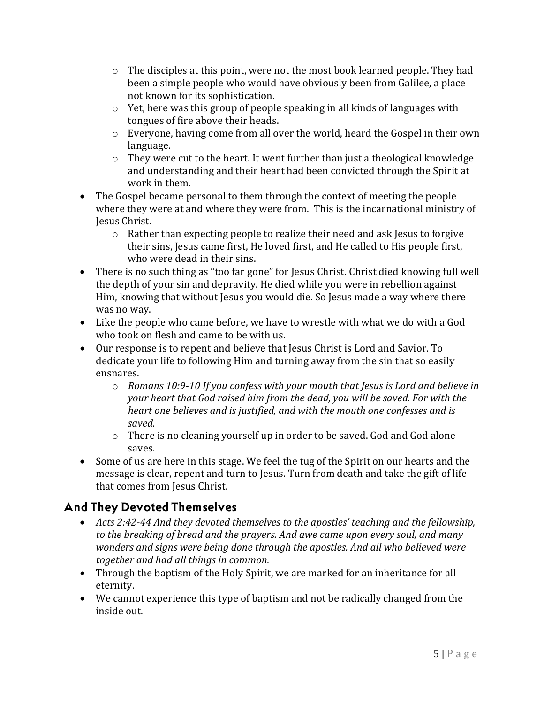- $\circ$  The disciples at this point, were not the most book learned people. They had been a simple people who would have obviously been from Galilee, a place not known for its sophistication.
- o Yet, here was this group of people speaking in all kinds of languages with tongues of fire above their heads.
- o Everyone, having come from all over the world, heard the Gospel in their own language.
- o They were cut to the heart. It went further than just a theological knowledge and understanding and their heart had been convicted through the Spirit at work in them.
- The Gospel became personal to them through the context of meeting the people where they were at and where they were from. This is the incarnational ministry of Jesus Christ.
	- o Rather than expecting people to realize their need and ask Jesus to forgive their sins, Jesus came first, He loved first, and He called to His people first, who were dead in their sins.
- There is no such thing as "too far gone" for Jesus Christ. Christ died knowing full well the depth of your sin and depravity. He died while you were in rebellion against Him, knowing that without Jesus you would die. So Jesus made a way where there was no way.
- Like the people who came before, we have to wrestle with what we do with a God who took on flesh and came to be with us.
- Our response is to repent and believe that Jesus Christ is Lord and Savior. To dedicate your life to following Him and turning away from the sin that so easily ensnares.
	- o *Romans 10:9-10 If you confess with your mouth that Jesus is Lord and believe in your heart that God raised him from the dead, you will be saved. For with the heart one believes and is justified, and with the mouth one confesses and is saved.*
	- $\circ$  There is no cleaning yourself up in order to be saved. God and God alone saves.
- Some of us are here in this stage. We feel the tug of the Spirit on our hearts and the message is clear, repent and turn to Jesus. Turn from death and take the gift of life that comes from Jesus Christ.

#### And They Devoted Themselves

- *Acts 2:42-44 And they devoted themselves to the apostles' teaching and the fellowship, to the breaking of bread and the prayers. And awe came upon every soul, and many wonders and signs were being done through the apostles. And all who believed were together and had all things in common.*
- Through the baptism of the Holy Spirit, we are marked for an inheritance for all eternity.
- We cannot experience this type of baptism and not be radically changed from the inside out.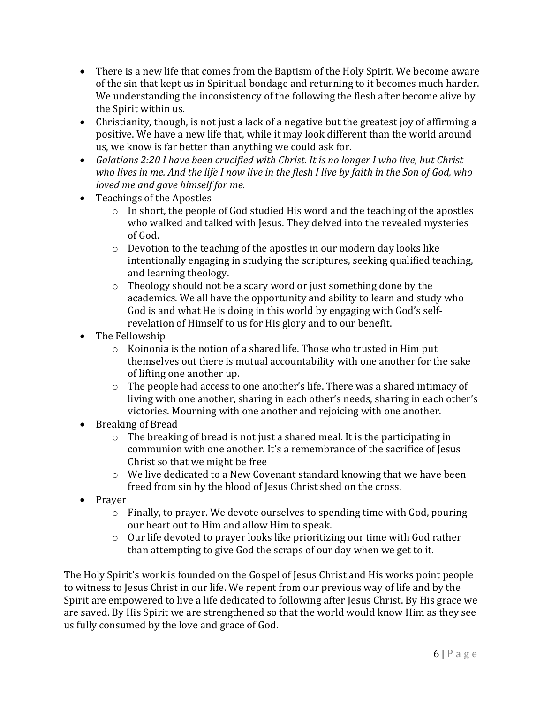- There is a new life that comes from the Baptism of the Holy Spirit. We become aware of the sin that kept us in Spiritual bondage and returning to it becomes much harder. We understanding the inconsistency of the following the flesh after become alive by the Spirit within us.
- Christianity, though, is not just a lack of a negative but the greatest joy of affirming a positive. We have a new life that, while it may look different than the world around us, we know is far better than anything we could ask for.
- *Galatians 2:20 I have been crucified with Christ. It is no longer I who live, but Christ who lives in me. And the life I now live in the flesh I live by faith in the Son of God, who loved me and gave himself for me.*
- Teachings of the Apostles
	- o In short, the people of God studied His word and the teaching of the apostles who walked and talked with Jesus. They delved into the revealed mysteries of God.
	- o Devotion to the teaching of the apostles in our modern day looks like intentionally engaging in studying the scriptures, seeking qualified teaching, and learning theology.
	- o Theology should not be a scary word or just something done by the academics. We all have the opportunity and ability to learn and study who God is and what He is doing in this world by engaging with God's selfrevelation of Himself to us for His glory and to our benefit.
- The Fellowship
	- o Koinonia is the notion of a shared life. Those who trusted in Him put themselves out there is mutual accountability with one another for the sake of lifting one another up.
	- o The people had access to one another's life. There was a shared intimacy of living with one another, sharing in each other's needs, sharing in each other's victories. Mourning with one another and rejoicing with one another.
- Breaking of Bread
	- o The breaking of bread is not just a shared meal. It is the participating in communion with one another. It's a remembrance of the sacrifice of Jesus Christ so that we might be free
	- o We live dedicated to a New Covenant standard knowing that we have been freed from sin by the blood of Jesus Christ shed on the cross.
- Prayer
	- o Finally, to prayer. We devote ourselves to spending time with God, pouring our heart out to Him and allow Him to speak.
	- o Our life devoted to prayer looks like prioritizing our time with God rather than attempting to give God the scraps of our day when we get to it.

The Holy Spirit's work is founded on the Gospel of Jesus Christ and His works point people to witness to Jesus Christ in our life. We repent from our previous way of life and by the Spirit are empowered to live a life dedicated to following after Jesus Christ. By His grace we are saved. By His Spirit we are strengthened so that the world would know Him as they see us fully consumed by the love and grace of God.